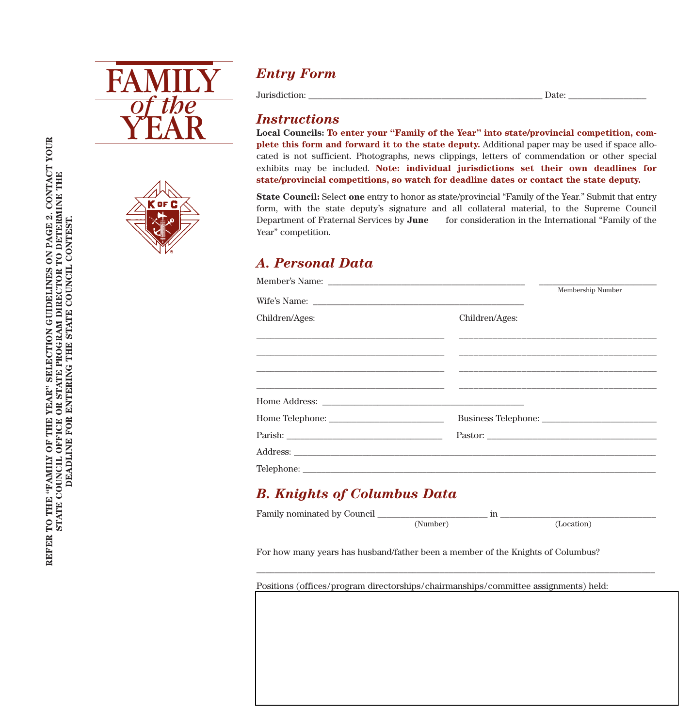



## *Entry Form*

Jurisdiction: \_\_\_\_\_\_\_\_\_\_\_\_\_\_\_\_\_\_\_\_\_\_\_\_\_\_\_\_\_\_\_\_\_\_\_\_\_\_\_\_\_\_\_\_\_\_\_\_\_\_\_ Date: \_\_\_\_\_\_\_\_\_\_\_\_\_\_\_\_\_

#### *Instructions*

**Local Councils: To enter your "Family of the Year" into state/provincial competition, complete this form and forward it to the state deputy.** Additional paper may be used if space allocated is not sufficient. Photographs, news clippings, letters of commendation or other special exhibits may be included. **Note: individual jurisdictions set their own deadlines for state/provincial competitions, so watch for deadline dates or contact the state deputy.**

**State Council:** Select **one** entry to honor as state/provincial "Family of the Year." Submit that entry form, with the state deputy's signature and all collateral material, to the Supreme Council Department of Fraternal Services by **June** for consideration in the International "Family of the Year" competition.

### *A. Personal Data*

|                                                                                  |                | Membership Number |
|----------------------------------------------------------------------------------|----------------|-------------------|
|                                                                                  |                |                   |
| Children/Ages:                                                                   | Children/Ages: |                   |
|                                                                                  |                |                   |
| ,我们也不能会在这里,我们也不能会在这里,我们也不能会在这里,我们也不能会在这里,我们也不能会在这里,我们也不能会在这里,我们也不能会在这里,我们也不能会不能会 |                |                   |
|                                                                                  |                |                   |
|                                                                                  |                |                   |
|                                                                                  |                |                   |
|                                                                                  |                |                   |
|                                                                                  |                |                   |
|                                                                                  |                |                   |
|                                                                                  |                |                   |

#### *B. Knights of Columbus Data*

| Family nominated by Council |  |  |
|-----------------------------|--|--|
|                             |  |  |

\_\_\_\_\_\_\_\_\_\_\_\_\_\_\_\_\_\_\_\_\_\_\_\_\_\_\_\_\_\_\_\_\_\_\_\_\_\_\_\_\_\_\_\_\_\_\_\_\_\_\_\_\_\_\_\_\_\_\_\_\_\_\_\_\_\_\_\_\_\_\_\_\_\_\_\_\_\_\_\_\_\_\_\_\_\_\_

For how many years has husband/father been a member of the Knights of Columbus?

Positions (offices/program directorships/chairmanships/committee assignments) held: